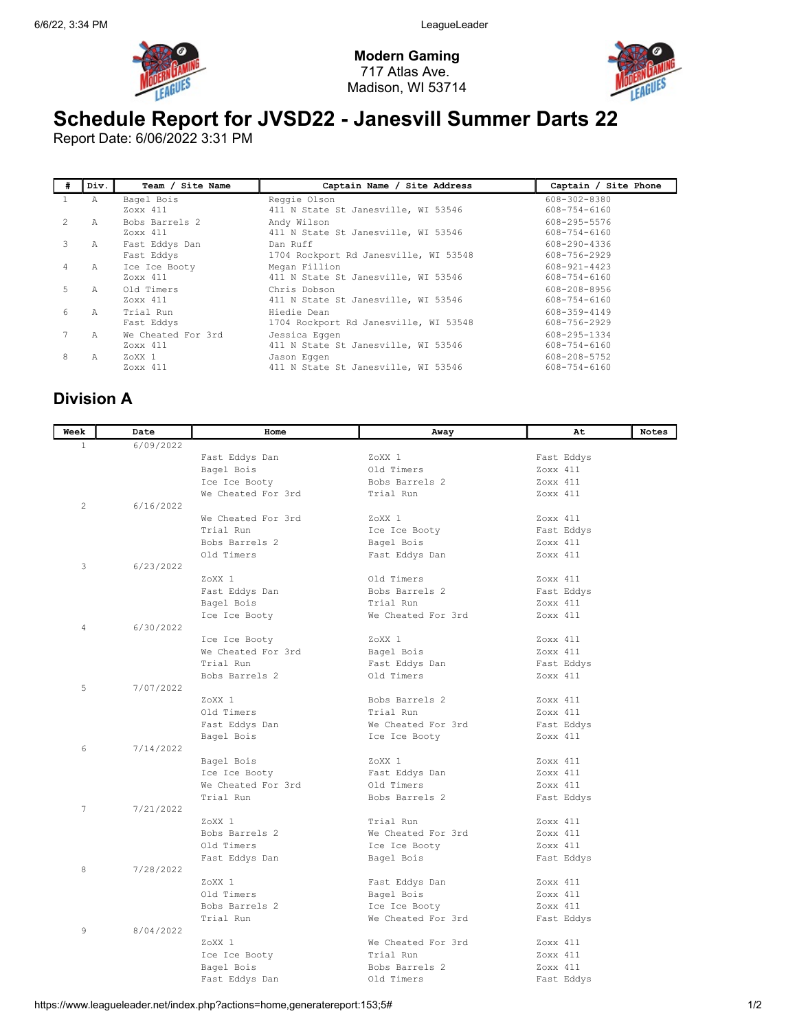

Modern Gaming 717 Atlas Ave. Madison, WI 53714



## Schedule Report for JVSD22 - Janesvill Summer Darts 22

Report Date: 6/06/2022 3:31 PM

| # | Div. | Team / Site Name   | Captain Name / Site Address           | Captain / Site Phone |
|---|------|--------------------|---------------------------------------|----------------------|
|   | Α    | Bagel Bois         | Reggie Olson                          | 608-302-8380         |
|   |      | Zoxx 411           | 411 N State St Janesville, WI 53546   | 608-754-6160         |
|   | Α    | Bobs Barrels 2     | Andy Wilson                           | 608-295-5576         |
|   |      | Zoxx 411           | 411 N State St Janesville, WI 53546   | 608-754-6160         |
| 3 | А    | Fast Eddys Dan     | Dan Ruff                              | 608-290-4336         |
|   |      | Fast Eddys         | 1704 Rockport Rd Janesville, WI 53548 | 608-756-2929         |
| 4 | A    | Ice Ice Booty      | Megan Fillion                         | 608-921-4423         |
|   |      | Zoxx 411           | 411 N State St Janesville, WI 53546   | 608-754-6160         |
| 5 | Α    | Old Timers         | Chris Dobson                          | 608-208-8956         |
|   |      | Zoxx 411           | 411 N State St Janesville, WI 53546   | 608-754-6160         |
| 6 | A    | Trial Run          | Hiedie Dean                           | 608-359-4149         |
|   |      | Fast Eddys         | 1704 Rockport Rd Janesville, WI 53548 | 608-756-2929         |
|   | A    | We Cheated For 3rd | Jessica Eqqen                         | 608-295-1334         |
|   |      | Zoxx 411           | 411 N State St Janesville, WI 53546   | 608-754-6160         |
| 8 | Α    | ZoXX 1             | Jason Eqqen                           | 608-208-5752         |
|   |      | Zoxx 411           | 411 N State St Janesville, WI 53546   | 608-754-6160         |

## Division A

| Week         | Date      | Home                        | Away               | At         | <b>Notes</b> |
|--------------|-----------|-----------------------------|--------------------|------------|--------------|
| $\mathbf{1}$ | 6/09/2022 |                             |                    |            |              |
|              |           | Fast Eddys Dan              | ZoXX 1             | Fast Eddys |              |
|              |           | Bagel Bois                  | Old Timers         | Zoxx 411   |              |
|              |           | Ice Ice Booty               | Bobs Barrels 2     | Zoxx 411   |              |
|              |           | We Cheated For 3rd          | Trial Run          | Zoxx 411   |              |
| $\mathbf{2}$ | 6/16/2022 |                             |                    |            |              |
|              |           | We Cheated For 3rd          | ZoXX 1             | Zoxx 411   |              |
|              |           | Trial Run                   | Ice Ice Booty      | Fast Eddys |              |
|              |           | Bobs Barrels 2              | Bagel Bois         | Zoxx 411   |              |
|              |           | Old Timers                  | Fast Eddys Dan     | Zoxx 411   |              |
| 3            | 6/23/2022 |                             |                    |            |              |
|              |           | ZoXX <sub>1</sub>           | Old Timers         | Zoxx 411   |              |
|              |           | Fast Eddys Dan              | Bobs Barrels 2     | Fast Eddys |              |
|              |           | Bagel Bois                  | Trial Run          | Zoxx 411   |              |
|              |           | Ice Ice Booty               | We Cheated For 3rd | Zoxx 411   |              |
| 4            | 6/30/2022 |                             |                    |            |              |
|              |           | Ice Ice Booty               | ZoXX 1             | Zoxx 411   |              |
|              |           | We Cheated For 3rd          | Bagel Bois         | Zoxx 411   |              |
|              |           | Trial Run                   | Fast Eddys Dan     | Fast Eddys |              |
|              |           | Bobs Barrels 2              | Old Timers         | Zoxx 411   |              |
| 5            | 7/07/2022 |                             |                    |            |              |
|              |           | ZoXX 1                      | Bobs Barrels 2     | Zoxx 411   |              |
|              |           | Old Timers                  | Trial Run          | Zoxx 411   |              |
|              |           | Fast Eddys Dan              | We Cheated For 3rd | Fast Eddys |              |
|              |           | Bagel Bois                  | Ice Ice Booty      | Zoxx 411   |              |
| 6            | 7/14/2022 |                             | ZoXX 1             | Zoxx 411   |              |
|              |           | Bagel Bois<br>Ice Ice Booty | Fast Eddys Dan     | Zoxx 411   |              |
|              |           | We Cheated For 3rd          | Old Timers         | Zoxx 411   |              |
|              |           | Trial Run                   | Bobs Barrels 2     | Fast Eddys |              |
| 7            | 7/21/2022 |                             |                    |            |              |
|              |           | $7.0XX$ 1                   | Trial Run          | Zoxx 411   |              |
|              |           | Bobs Barrels 2              | We Cheated For 3rd | Zoxx 411   |              |
|              |           | Old Timers                  | Ice Ice Booty      | Zoxx 411   |              |
|              |           | Fast Eddys Dan              | Bagel Bois         | Fast Eddys |              |
| 8            | 7/28/2022 |                             |                    |            |              |
|              |           | ZoXX 1                      | Fast Eddys Dan     | Zoxx 411   |              |
|              |           | Old Timers                  | Bagel Bois         | Zoxx 411   |              |
|              |           | Bobs Barrels 2              | Ice Ice Booty      | Zoxx 411   |              |
|              |           | Trial Run                   | We Cheated For 3rd | Fast Eddys |              |
| 9            | 8/04/2022 |                             |                    |            |              |
|              |           | ZoXX 1                      | We Cheated For 3rd | Zoxx 411   |              |
|              |           | Ice Ice Booty               | Trial Run          | Zoxx 411   |              |
|              |           | Bagel Bois                  | Bobs Barrels 2     | Zoxx 411   |              |
|              |           | Fast Eddys Dan              | Old Timers         | Fast Eddys |              |